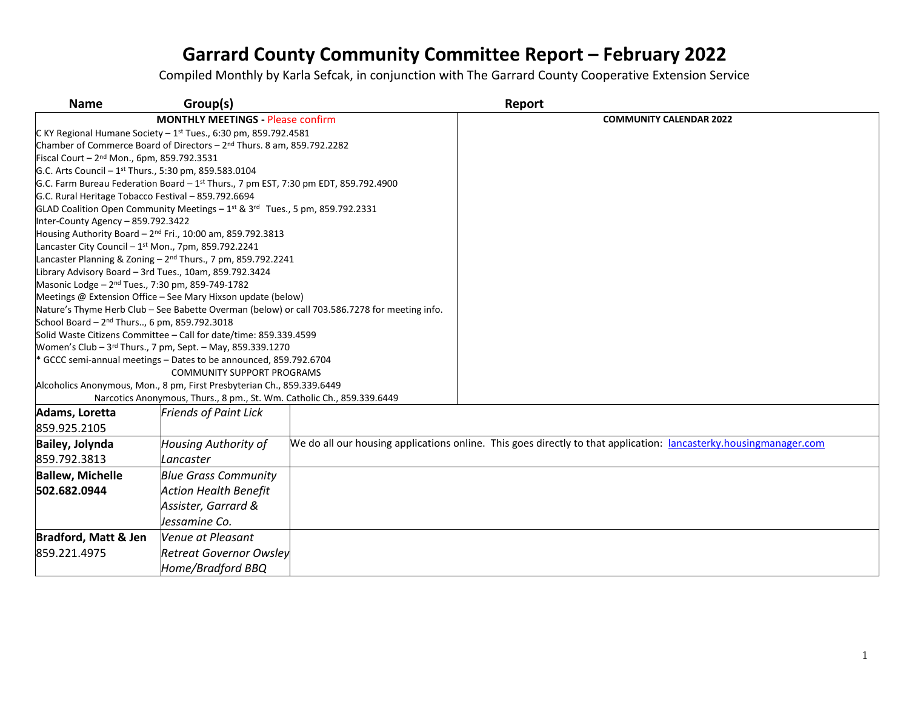| <b>Name</b>                                                                                            | Group(s)                                                                            |                                                                                               | Report                                                                                                            |
|--------------------------------------------------------------------------------------------------------|-------------------------------------------------------------------------------------|-----------------------------------------------------------------------------------------------|-------------------------------------------------------------------------------------------------------------------|
| <b>MONTHLY MEETINGS - Please confirm</b>                                                               |                                                                                     |                                                                                               | <b>COMMUNITY CALENDAR 2022</b>                                                                                    |
| C KY Regional Humane Society $-1$ <sup>st</sup> Tues., 6:30 pm, 859.792.4581                           |                                                                                     |                                                                                               |                                                                                                                   |
| Chamber of Commerce Board of Directors - 2 <sup>nd</sup> Thurs. 8 am, 859.792.2282                     |                                                                                     |                                                                                               |                                                                                                                   |
| Fiscal Court - 2 <sup>nd</sup> Mon., 6pm, 859.792.3531                                                 |                                                                                     |                                                                                               |                                                                                                                   |
| G.C. Arts Council - 1 <sup>st</sup> Thurs., 5:30 pm, 859.583.0104                                      |                                                                                     |                                                                                               |                                                                                                                   |
|                                                                                                        | G.C. Farm Bureau Federation Board - 1st Thurs., 7 pm EST, 7:30 pm EDT, 859.792.4900 |                                                                                               |                                                                                                                   |
| G.C. Rural Heritage Tobacco Festival - 859.792.6694                                                    |                                                                                     |                                                                                               |                                                                                                                   |
|                                                                                                        | GLAD Coalition Open Community Meetings - 1st & 3rd Tues., 5 pm, 859.792.2331        |                                                                                               |                                                                                                                   |
| Inter-County Agency - 859.792.3422                                                                     |                                                                                     |                                                                                               |                                                                                                                   |
|                                                                                                        | Housing Authority Board - 2 <sup>nd</sup> Fri., 10:00 am, 859.792.3813              |                                                                                               |                                                                                                                   |
| Lancaster City Council $-1$ <sup>st</sup> Mon., 7pm, 859.792.2241                                      |                                                                                     |                                                                                               |                                                                                                                   |
|                                                                                                        | Lancaster Planning & Zoning - 2 <sup>nd</sup> Thurs., 7 pm, 859.792.2241            |                                                                                               |                                                                                                                   |
| Library Advisory Board - 3rd Tues., 10am, 859.792.3424                                                 |                                                                                     |                                                                                               |                                                                                                                   |
| Masonic Lodge - 2 <sup>nd</sup> Tues., 7:30 pm, 859-749-1782                                           |                                                                                     |                                                                                               |                                                                                                                   |
|                                                                                                        | Meetings @ Extension Office - See Mary Hixson update (below)                        |                                                                                               |                                                                                                                   |
|                                                                                                        |                                                                                     | Nature's Thyme Herb Club - See Babette Overman (below) or call 703.586.7278 for meeting info. |                                                                                                                   |
| School Board - 2 <sup>nd</sup> Thurs, 6 pm, 859.792.3018                                               | Solid Waste Citizens Committee - Call for date/time: 859.339.4599                   |                                                                                               |                                                                                                                   |
|                                                                                                        | Women's Club - 3rd Thurs., 7 pm, Sept. - May, 859.339.1270                          |                                                                                               |                                                                                                                   |
|                                                                                                        |                                                                                     |                                                                                               |                                                                                                                   |
| * GCCC semi-annual meetings - Dates to be announced, 859.792.6704<br><b>COMMUNITY SUPPORT PROGRAMS</b> |                                                                                     |                                                                                               |                                                                                                                   |
|                                                                                                        | Alcoholics Anonymous, Mon., 8 pm, First Presbyterian Ch., 859.339.6449              |                                                                                               |                                                                                                                   |
|                                                                                                        | Narcotics Anonymous, Thurs., 8 pm., St. Wm. Catholic Ch., 859.339.6449              |                                                                                               |                                                                                                                   |
| Adams, Loretta                                                                                         | <b>Friends of Paint Lick</b>                                                        |                                                                                               |                                                                                                                   |
| 859.925.2105                                                                                           |                                                                                     |                                                                                               |                                                                                                                   |
| Bailey, Jolynda                                                                                        | <b>Housing Authority of</b>                                                         |                                                                                               | We do all our housing applications online. This goes directly to that application: lancasterky.housingmanager.com |
| 859.792.3813                                                                                           | Lancaster                                                                           |                                                                                               |                                                                                                                   |
| <b>Ballew, Michelle</b>                                                                                | <b>Blue Grass Community</b>                                                         |                                                                                               |                                                                                                                   |
| 502.682.0944                                                                                           | <b>Action Health Benefit</b>                                                        |                                                                                               |                                                                                                                   |
|                                                                                                        | Assister, Garrard &                                                                 |                                                                                               |                                                                                                                   |
|                                                                                                        | Jessamine Co.                                                                       |                                                                                               |                                                                                                                   |
| <b>Bradford, Matt &amp; Jen</b>                                                                        | Venue at Pleasant                                                                   |                                                                                               |                                                                                                                   |
| 859.221.4975                                                                                           | <b>Retreat Governor Owsley</b>                                                      |                                                                                               |                                                                                                                   |
|                                                                                                        | Home/Bradford BBQ                                                                   |                                                                                               |                                                                                                                   |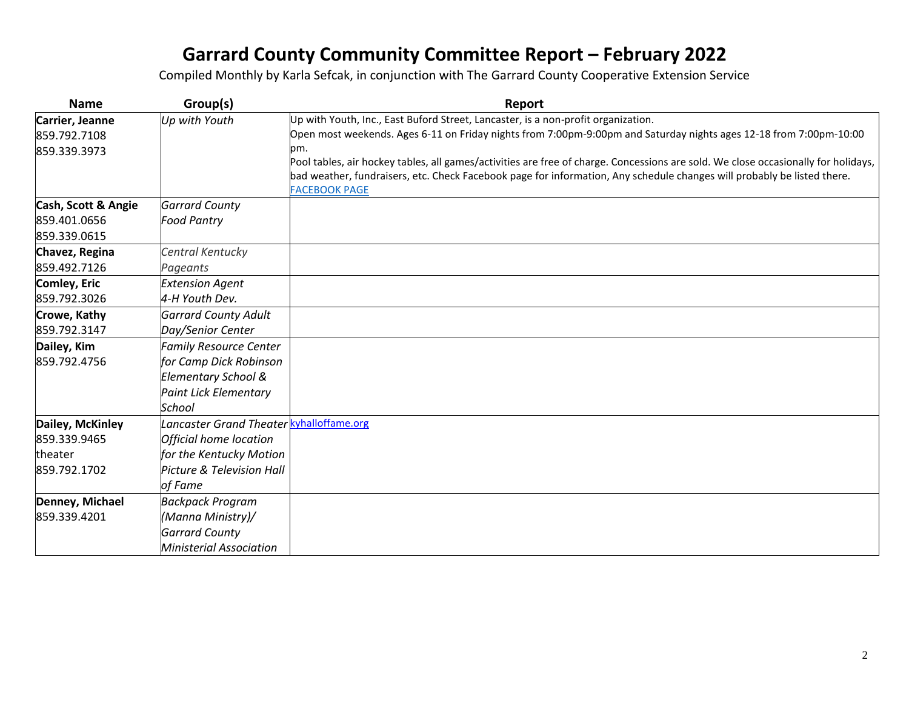| <b>Name</b>         | Group(s)                                 | Report                                                                                                                             |
|---------------------|------------------------------------------|------------------------------------------------------------------------------------------------------------------------------------|
| Carrier, Jeanne     | Up with Youth                            | Up with Youth, Inc., East Buford Street, Lancaster, is a non-profit organization.                                                  |
| 859.792.7108        |                                          | Open most weekends. Ages 6-11 on Friday nights from 7:00pm-9:00pm and Saturday nights ages 12-18 from 7:00pm-10:00                 |
| 859.339.3973        |                                          | pm.                                                                                                                                |
|                     |                                          | Pool tables, air hockey tables, all games/activities are free of charge. Concessions are sold. We close occasionally for holidays, |
|                     |                                          | bad weather, fundraisers, etc. Check Facebook page for information, Any schedule changes will probably be listed there.            |
| Cash, Scott & Angie | <b>Garrard County</b>                    | <b>FACEBOOK PAGE</b>                                                                                                               |
| 859.401.0656        | <b>Food Pantry</b>                       |                                                                                                                                    |
| 859.339.0615        |                                          |                                                                                                                                    |
| Chavez, Regina      | Central Kentucky                         |                                                                                                                                    |
| 859.492.7126        | Pageants                                 |                                                                                                                                    |
| Comley, Eric        | <b>Extension Agent</b>                   |                                                                                                                                    |
| 859.792.3026        | 4-H Youth Dev.                           |                                                                                                                                    |
| Crowe, Kathy        | <b>Garrard County Adult</b>              |                                                                                                                                    |
| 859.792.3147        | Day/Senior Center                        |                                                                                                                                    |
| Dailey, Kim         | <b>Family Resource Center</b>            |                                                                                                                                    |
| 859.792.4756        | for Camp Dick Robinson                   |                                                                                                                                    |
|                     | Elementary School &                      |                                                                                                                                    |
|                     | <b>Paint Lick Elementary</b>             |                                                                                                                                    |
|                     | School                                   |                                                                                                                                    |
| Dailey, McKinley    | Lancaster Grand Theater kyhalloffame.org |                                                                                                                                    |
| 859.339.9465        | Official home location                   |                                                                                                                                    |
| theater             | for the Kentucky Motion                  |                                                                                                                                    |
| 859.792.1702        | Picture & Television Hall                |                                                                                                                                    |
|                     | of Fame                                  |                                                                                                                                    |
| Denney, Michael     | <b>Backpack Program</b>                  |                                                                                                                                    |
| 859.339.4201        | (Manna Ministry)/                        |                                                                                                                                    |
|                     | <b>Garrard County</b>                    |                                                                                                                                    |
|                     | <b>Ministerial Association</b>           |                                                                                                                                    |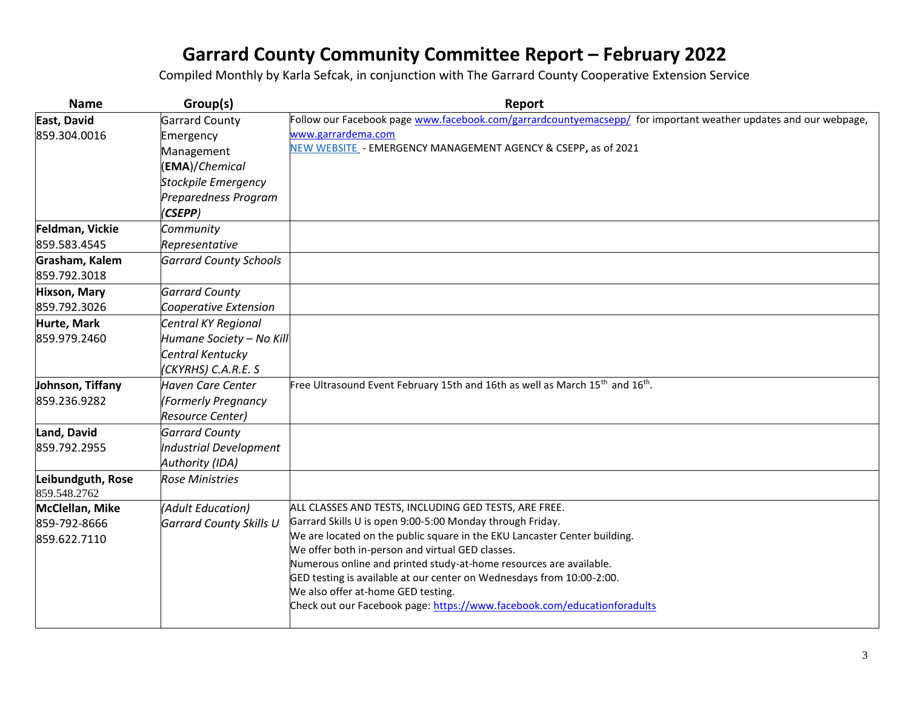| <b>Name</b>                       | Group(s)                       | Report                                                                                                          |
|-----------------------------------|--------------------------------|-----------------------------------------------------------------------------------------------------------------|
| East, David                       | <b>Garrard County</b>          | Follow our Facebook page www.facebook.com/garrardcountyemacsepp/ for important weather updates and our webpage, |
| 859.304.0016                      | Emergency                      | www.garrardema.com                                                                                              |
|                                   | Management                     | NEW WEBSITE - EMERGENCY MANAGEMENT AGENCY & CSEPP, as of 2021                                                   |
|                                   | (EMA)/Chemical                 |                                                                                                                 |
|                                   | <b>Stockpile Emergency</b>     |                                                                                                                 |
|                                   | Preparedness Program           |                                                                                                                 |
|                                   | (CSEPP)                        |                                                                                                                 |
| Feldman, Vickie                   | Community                      |                                                                                                                 |
| 859.583.4545                      | Representative                 |                                                                                                                 |
| Grasham, Kalem                    | <b>Garrard County Schools</b>  |                                                                                                                 |
| 859.792.3018                      |                                |                                                                                                                 |
| Hixson, Mary                      | <b>Garrard County</b>          |                                                                                                                 |
| 859.792.3026                      | Cooperative Extension          |                                                                                                                 |
| Hurte, Mark                       | Central KY Regional            |                                                                                                                 |
| 859.979.2460                      | Humane Society - No Kill       |                                                                                                                 |
|                                   | Central Kentucky               |                                                                                                                 |
|                                   | (CKYRHS) C.A.R.E. S            |                                                                                                                 |
| Johnson, Tiffany                  | <b>Haven Care Center</b>       | Free Ultrasound Event February 15th and 16th as well as March 15 <sup>th</sup> and 16 <sup>th</sup> .           |
| 859.236.9282                      | (Formerly Pregnancy            |                                                                                                                 |
|                                   | <b>Resource Center)</b>        |                                                                                                                 |
| Land, David                       | <b>Garrard County</b>          |                                                                                                                 |
| 859.792.2955                      | <b>Industrial Development</b>  |                                                                                                                 |
|                                   | Authority (IDA)                |                                                                                                                 |
| Leibundguth, Rose<br>859.548.2762 | <b>Rose Ministries</b>         |                                                                                                                 |
| McClellan, Mike                   | (Adult Education)              | ALL CLASSES AND TESTS, INCLUDING GED TESTS, ARE FREE.                                                           |
| 859-792-8666                      | <b>Garrard County Skills U</b> | Garrard Skills U is open 9:00-5:00 Monday through Friday.                                                       |
| 859.622.7110                      |                                | We are located on the public square in the EKU Lancaster Center building.                                       |
|                                   |                                | We offer both in-person and virtual GED classes.                                                                |
|                                   |                                | Numerous online and printed study-at-home resources are available.                                              |
|                                   |                                | GED testing is available at our center on Wednesdays from 10:00-2:00.<br>We also offer at-home GED testing.     |
|                                   |                                | Check out our Facebook page: https://www.facebook.com/educationforadults                                        |
|                                   |                                |                                                                                                                 |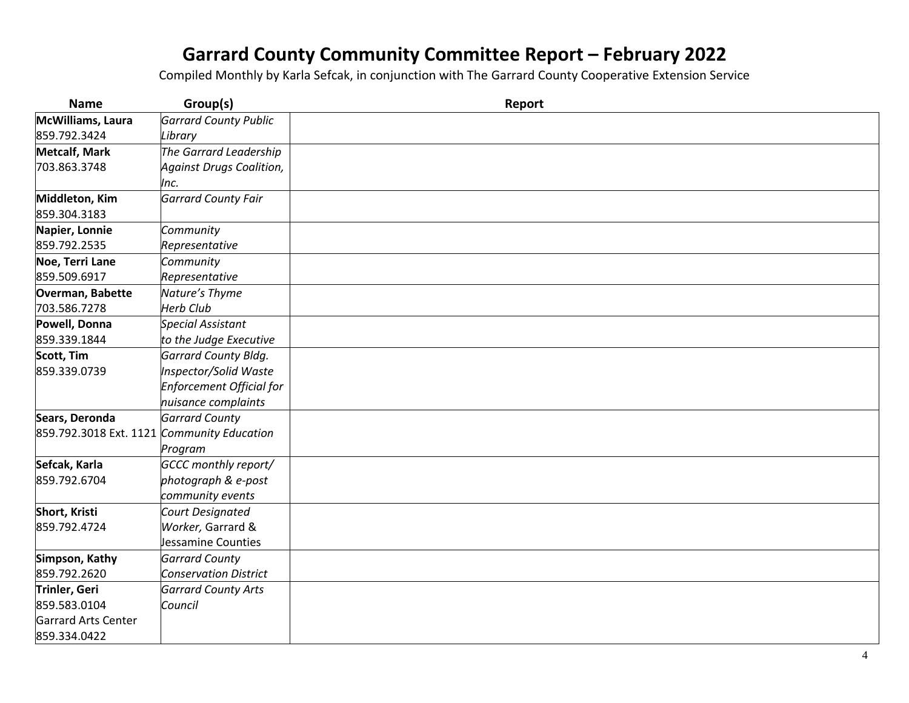| <b>Name</b>                                | Group(s)                                | Report |
|--------------------------------------------|-----------------------------------------|--------|
| McWilliams, Laura                          | <b>Garrard County Public</b>            |        |
| 859.792.3424                               | Library                                 |        |
| <b>Metcalf, Mark</b>                       | The Garrard Leadership                  |        |
| 703.863.3748                               | <b>Against Drugs Coalition,</b><br>Inc. |        |
| Middleton, Kim<br>859.304.3183             | <b>Garrard County Fair</b>              |        |
| Napier, Lonnie                             | Community                               |        |
| 859.792.2535                               | Representative                          |        |
| Noe, Terri Lane                            | Community                               |        |
| 859.509.6917                               | Representative                          |        |
| Overman, Babette                           | Nature's Thyme                          |        |
| 703.586.7278                               | <b>Herb Club</b>                        |        |
| Powell, Donna                              | <b>Special Assistant</b>                |        |
| 859.339.1844                               | to the Judge Executive                  |        |
| Scott, Tim                                 | <b>Garrard County Bldg.</b>             |        |
| 859.339.0739                               | Inspector/Solid Waste                   |        |
|                                            | Enforcement Official for                |        |
|                                            | nuisance complaints                     |        |
| Sears, Deronda                             | <b>Garrard County</b>                   |        |
| 859.792.3018 Ext. 1121 Community Education |                                         |        |
|                                            | Program                                 |        |
| Sefcak, Karla                              | GCCC monthly report/                    |        |
| 859.792.6704                               | photograph & e-post                     |        |
|                                            | community events                        |        |
| Short, Kristi                              | Court Designated                        |        |
| 859.792.4724                               | Worker, Garrard &                       |        |
|                                            | Jessamine Counties                      |        |
| Simpson, Kathy                             | <b>Garrard County</b>                   |        |
| 859.792.2620                               | <b>Conservation District</b>            |        |
| Trinler, Geri                              | <b>Garrard County Arts</b>              |        |
| 859.583.0104                               | Council                                 |        |
| Garrard Arts Center                        |                                         |        |
| 859.334.0422                               |                                         |        |